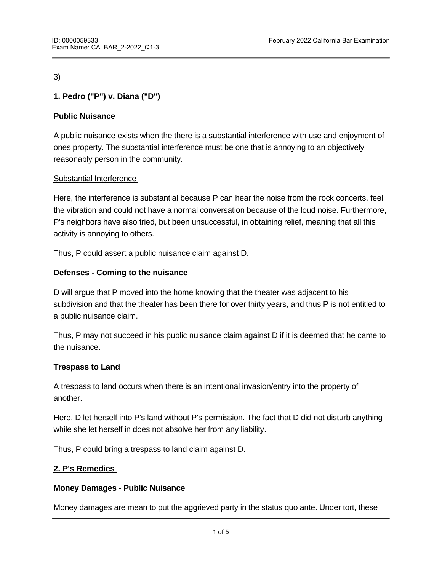3)

# **1. Pedro ("P") v. Diana ("D")**

## **Public Nuisance**

A public nuisance exists when the there is a substantial interference with use and enjoyment of ones property. The substantial interference must be one that is annoying to an objectively reasonably person in the community.

## Substantial Interference

Here, the interference is substantial because P can hear the noise from the rock concerts, feel the vibration and could not have a normal conversation because of the loud noise. Furthermore, P's neighbors have also tried, but been unsuccessful, in obtaining relief, meaning that all this activity is annoying to others.

Thus, P could assert a public nuisance claim against D.

## **Defenses - Coming to the nuisance**

D will argue that P moved into the home knowing that the theater was adjacent to his subdivision and that the theater has been there for over thirty years, and thus P is not entitled to a public nuisance claim.

Thus, P may not succeed in his public nuisance claim against D if it is deemed that he came to the nuisance.

## **Trespass to Land**

A trespass to land occurs when there is an intentional invasion/entry into the property of another.

Here, D let herself into P's land without P's permission. The fact that D did not disturb anything while she let herself in does not absolve her from any liability.

Thus, P could bring a trespass to land claim against D.

### **2. P's Remedies**

### **Money Damages - Public Nuisance**

Money damages are mean to put the aggrieved party in the status quo ante. Under tort, these

remedies are general damages which include compensatory and special damages.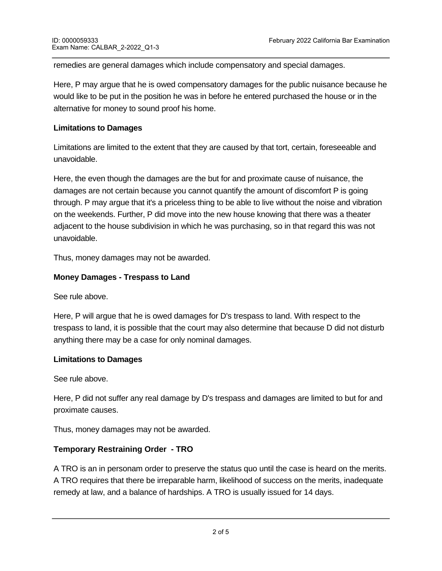remedies are general damages which include compensatory and special damages.

Here, P may argue that he is owed compensatory damages for the public nuisance because he would like to be put in the position he was in before he entered purchased the house or in the alternative for money to sound proof his home.

## **Limitations to Damages**

Limitations are limited to the extent that they are caused by that tort, certain, foreseeable and unavoidable.

Here, the even though the damages are the but for and proximate cause of nuisance, the damages are not certain because you cannot quantify the amount of discomfort P is going through. P may argue that it's a priceless thing to be able to live without the noise and vibration on the weekends. Further, P did move into the new house knowing that there was a theater adjacent to the house subdivision in which he was purchasing, so in that regard this was not unavoidable.

Thus, money damages may not be awarded.

## **Money Damages - Trespass to Land**

See rule above.

Here, P will argue that he is owed damages for D's trespass to land. With respect to the trespass to land, it is possible that the court may also determine that because D did not disturb anything there may be a case for only nominal damages.

### **Limitations to Damages**

See rule above.

Here, P did not suffer any real damage by D's trespass and damages are limited to but for and proximate causes.

Thus, money damages may not be awarded.

## **Temporary Restraining Order - TRO**

A TRO is an in personam order to preserve the status quo until the case is heard on the merits. A TRO requires that there be irreparable harm, likelihood of success on the merits, inadequate remedy at law, and a balance of hardships. A TRO is usually issued for 14 days.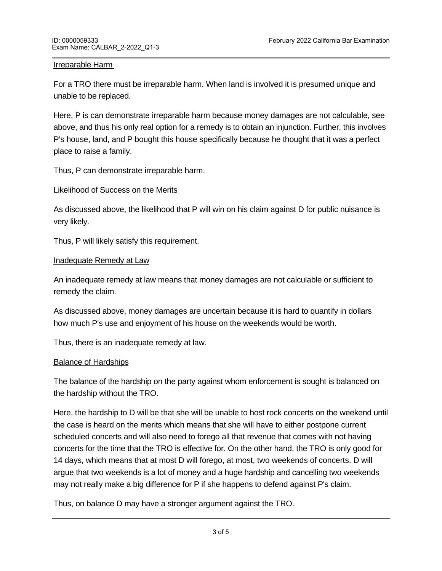### Irreparable Harm

For a TRO there must be irreparable harm. When land is involved it is presumed unique and unable to be replaced.

Here, P is can demonstrate irreparable harm because money damages are not calculable, see above, and thus his only real option for a remedy is to obtain an injunction. Further, this involves P's house, land, and P bought this house specifically because he thought that it was a perfect place to raise a family.

Thus, P can demonstrate irreparable harm.

#### Likelihood of Success on the Merits

As discussed above, the likelihood that P will win on his claim against D for public nuisance is very likely.

Thus, P will likely satisfy this requirement.

#### **Inadequate Remedy at Law**

An inadequate remedy at law means that money damages are not calculable or sufficient to remedy the claim.

As discussed above, money damages are uncertain because it is hard to quantify in dollars how much P's use and enjoyment of his house on the weekends would be worth.

Thus, there is an inadequate remedy at law.

### Balance of Hardships

The balance of the hardship on the party against whom enforcement is sought is balanced on the hardship without the TRO.

Here, the hardship to D will be that she will be unable to host rock concerts on the weekend until the case is heard on the merits which means that she will have to either postpone current scheduled concerts and will also need to forego all that revenue that comes with not having concerts for the time that the TRO is effective for. On the other hand, the TRO is only good for 14 days, which means that at most D will forego, at most, two weekends of concerts. D will argue that two weekends is a lot of money and a huge hardship and cancelling two weekends may not really make a big difference for P if she happens to defend against P's claim.

Thus, on balance D may have a stronger argument against the TRO.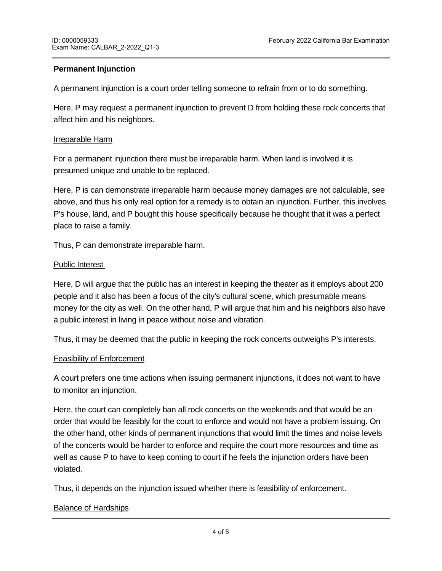## **Permanent Injunction**

A permanent injunction is a court order telling someone to refrain from or to do something.

Here, P may request a permanent injunction to prevent D from holding these rock concerts that affect him and his neighbors.

### Irreparable Harm

For a permanent injunction there must be irreparable harm. When land is involved it is presumed unique and unable to be replaced.

Here, P is can demonstrate irreparable harm because money damages are not calculable, see above, and thus his only real option for a remedy is to obtain an injunction. Further, this involves P's house, land, and P bought this house specifically because he thought that it was a perfect place to raise a family.

Thus, P can demonstrate irreparable harm.

#### Public Interest

Here, D will argue that the public has an interest in keeping the theater as it employs about 200 people and it also has been a focus of the city's cultural scene, which presumable means money for the city as well. On the other hand, P will argue that him and his neighbors also have a public interest in living in peace without noise and vibration.

Thus, it may be deemed that the public in keeping the rock concerts outweighs P's interests.

#### Feasibility of Enforcement

A court prefers one time actions when issuing permanent injunctions, it does not want to have to monitor an injunction.

Here, the court can completely ban all rock concerts on the weekends and that would be an order that would be feasibly for the court to enforce and would not have a problem issuing. On the other hand, other kinds of permanent injunctions that would limit the times and noise levels of the concerts would be harder to enforce and require the court more resources and time as well as cause P to have to keep coming to court if he feels the injunction orders have been violated.

Thus, it depends on the injunction issued whether there is feasibility of enforcement.

### Balance of Hardships